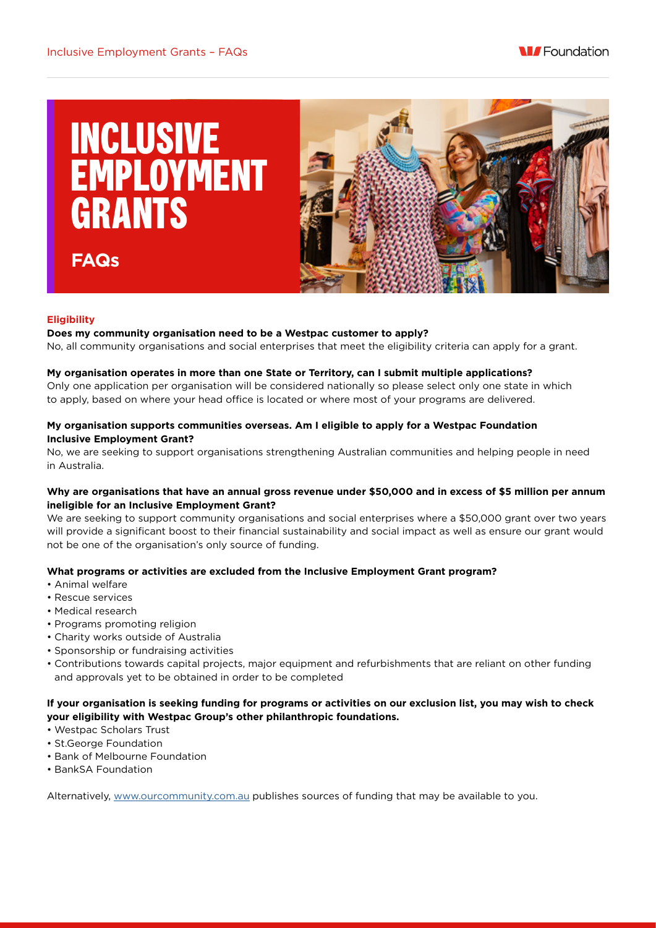



# **Eligibility**

**FAQs**

#### **Does my community organisation need to be a Westpac customer to apply?**

No, all community organisations and social enterprises that meet the eligibility criteria can apply for a grant.

#### **My organisation operates in more than one State or Territory, can I submit multiple applications?**

Only one application per organisation will be considered nationally so please select only one state in which to apply, based on where your head office is located or where most of your programs are delivered.

## **My organisation supports communities overseas. Am I eligible to apply for a Westpac Foundation Inclusive Employment Grant?**

No, we are seeking to support organisations strengthening Australian communities and helping people in need in Australia.

### **Why are organisations that have an annual gross revenue under \$50,000 and in excess of \$5 million per annum ineligible for an Inclusive Employment Grant?**

We are seeking to support community organisations and social enterprises where a \$50,000 grant over two years will provide a significant boost to their financial sustainability and social impact as well as ensure our grant would not be one of the organisation's only source of funding.

## **What programs or activities are excluded from the Inclusive Employment Grant program?**

- Animal welfare
- Rescue services
- Medical research
- Programs promoting religion
- Charity works outside of Australia
- Sponsorship or fundraising activities
- Contributions towards capital projects, major equipment and refurbishments that are reliant on other funding and approvals yet to be obtained in order to be completed

## **If your organisation is seeking funding for programs or activities on our exclusion list, you may wish to check your eligibility with Westpac Group's other philanthropic foundations.**

- Westpac Scholars Trust
- St.George Foundation
- Bank of Melbourne Foundation
- BankSA Foundation

Alternatively, [www.ourcommunity.com.au](http://www.ourcommunity.com.au/) publishes sources of funding that may be available to you.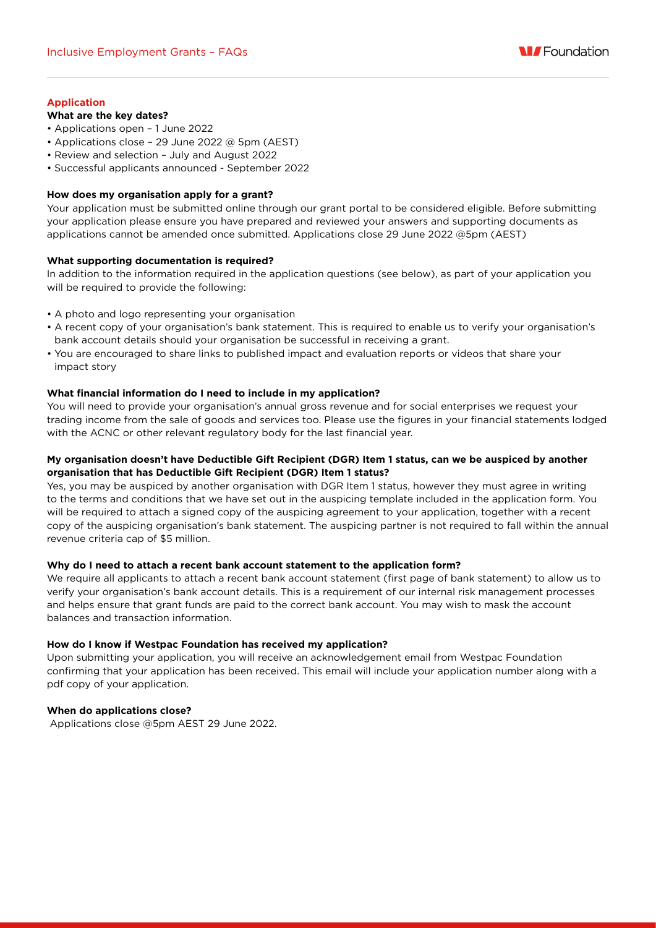

# **Application**

# **What are the key dates?**

- Applications open 1 June 2022
- Applications close 29 June 2022 @ 5pm (AEST)
- Review and selection July and August 2022
- Successful applicants announced September 2022

### **How does my organisation apply for a grant?**

Your application must be submitted online through our grant portal to be considered eligible. Before submitting your application please ensure you have prepared and reviewed your answers and supporting documents as applications cannot be amended once submitted. Applications close 29 June 2022 @5pm (AEST)

### **What supporting documentation is required?**

In addition to the information required in the application questions (see below), as part of your application you will be required to provide the following:

- A photo and logo representing your organisation
- A recent copy of your organisation's bank statement. This is required to enable us to verify your organisation's bank account details should your organisation be successful in receiving a grant.
- You are encouraged to share links to published impact and evaluation reports or videos that share your impact story

### **What financial information do I need to include in my application?**

You will need to provide your organisation's annual gross revenue and for social enterprises we request your trading income from the sale of goods and services too. Please use the figures in your financial statements lodged with the ACNC or other relevant regulatory body for the last financial year.

# **My organisation doesn't have Deductible Gift Recipient (DGR) Item 1 status, can we be auspiced by another organisation that has Deductible Gift Recipient (DGR) Item 1 status?**

Yes, you may be auspiced by another organisation with DGR Item 1 status, however they must agree in writing to the terms and conditions that we have set out in the auspicing template included in the application form. You will be required to attach a signed copy of the auspicing agreement to your application, together with a recent copy of the auspicing organisation's bank statement. The auspicing partner is not required to fall within the annual revenue criteria cap of \$5 million.

## **Why do I need to attach a recent bank account statement to the application form?**

We require all applicants to attach a recent bank account statement (first page of bank statement) to allow us to verify your organisation's bank account details. This is a requirement of our internal risk management processes and helps ensure that grant funds are paid to the correct bank account. You may wish to mask the account balances and transaction information.

#### **How do I know if Westpac Foundation has received my application?**

Upon submitting your application, you will receive an acknowledgement email from Westpac Foundation confirming that your application has been received. This email will include your application number along with a pdf copy of your application.

## **When do applications close?**

Applications close @5pm AEST 29 June 2022.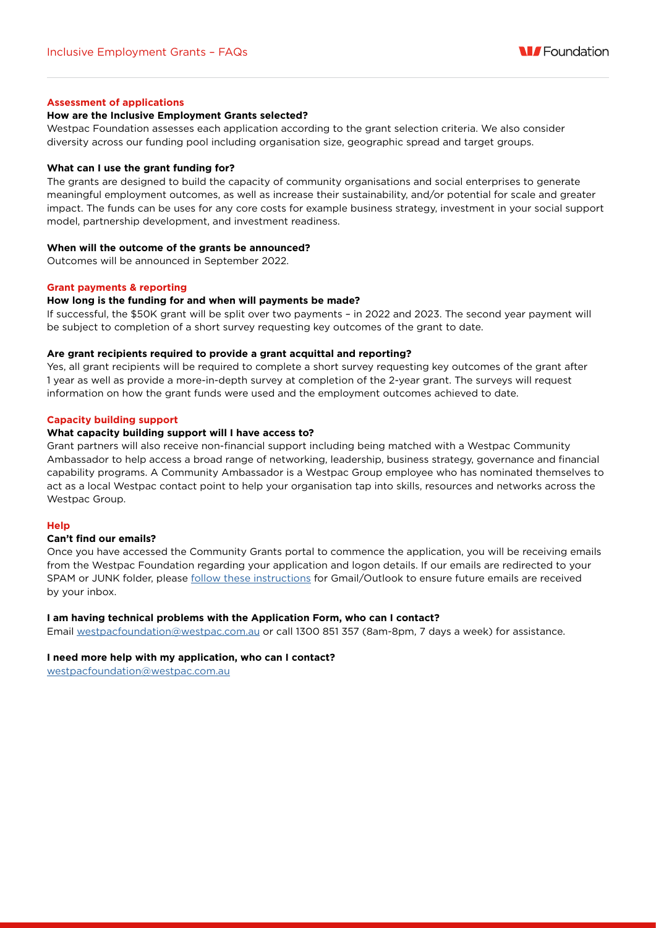

### **Assessment of applications**

#### **How are the Inclusive Employment Grants selected?**

Westpac Foundation assesses each application according to the grant selection criteria. We also consider diversity across our funding pool including organisation size, geographic spread and target groups.

#### **What can I use the grant funding for?**

The grants are designed to build the capacity of community organisations and social enterprises to generate meaningful employment outcomes, as well as increase their sustainability, and/or potential for scale and greater impact. The funds can be uses for any core costs for example business strategy, investment in your social support model, partnership development, and investment readiness.

#### **When will the outcome of the grants be announced?**

Outcomes will be announced in September 2022.

#### **Grant payments & reporting**

#### **How long is the funding for and when will payments be made?**

If successful, the \$50K grant will be split over two payments – in 2022 and 2023. The second year payment will be subject to completion of a short survey requesting key outcomes of the grant to date.

#### **Are grant recipients required to provide a grant acquittal and reporting?**

Yes, all grant recipients will be required to complete a short survey requesting key outcomes of the grant after 1 year as well as provide a more-in-depth survey at completion of the 2-year grant. The surveys will request information on how the grant funds were used and the employment outcomes achieved to date.

#### **Capacity building support**

#### **What capacity building support will I have access to?**

Grant partners will also receive non-financial support including being matched with a Westpac Community Ambassador to help access a broad range of networking, leadership, business strategy, governance and financial capability programs. A Community Ambassador is a Westpac Group employee who has nominated themselves to act as a local Westpac contact point to help your organisation tap into skills, resources and networks across the Westpac Group.

#### **Help**

#### **Can't find our emails?**

Once you have accessed the Community Grants portal to commence the application, you will be receiving emails from the Westpac Foundation regarding your application and logon details. If our emails are redirected to your SPAM or JUNK folder, please [follow these instructions](https://westpacfoundation-services.secure.force.com/endpoint/servlet/servlet.FileDownload?file=0150K000005jkzM) for Gmail/Outlook to ensure future emails are received by your inbox.

#### **I am having technical problems with the Application Form, who can I contact?**

Email [westpacfoundation@westpac.com.au](mailto:westpacfoundation%40westpac.com.au?subject=) or call 1300 851 357 (8am-8pm, 7 days a week) for assistance.

#### **I need more help with my application, who can I contact?**

[westpacfoundation@westpac.com.au](mailto:westpacfoundation%40westpac.com.au?subject=)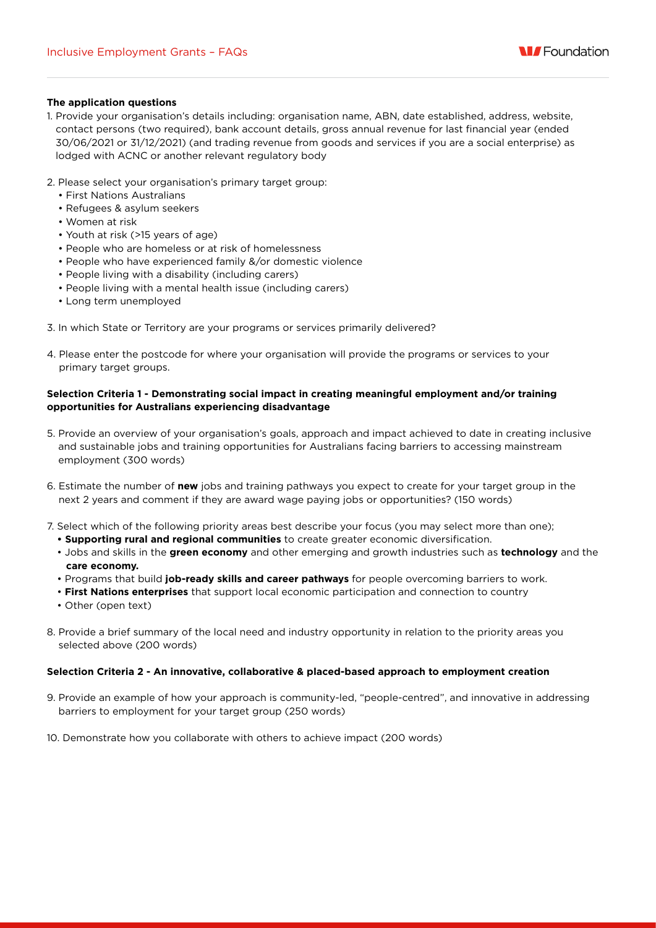### **The application questions**

- 1. Provide your organisation's details including: organisation name, ABN, date established, address, website, contact persons (two required), bank account details, gross annual revenue for last financial year (ended 30/06/2021 or 31/12/2021) (and trading revenue from goods and services if you are a social enterprise) as lodged with ACNC or another relevant regulatory body
- 2. Please select your organisation's primary target group:
	- First Nations Australians
	- Refugees & asylum seekers
	- Women at risk
	- Youth at risk (>15 years of age)
	- People who are homeless or at risk of homelessness
	- People who have experienced family &/or domestic violence
	- People living with a disability (including carers)
	- People living with a mental health issue (including carers)
	- Long term unemployed
- 3. In which State or Territory are your programs or services primarily delivered?
- 4. Please enter the postcode for where your organisation will provide the programs or services to your primary target groups.

## **Selection Criteria 1 - Demonstrating social impact in creating meaningful employment and/or training opportunities for Australians experiencing disadvantage**

- 5. Provide an overview of your organisation's goals, approach and impact achieved to date in creating inclusive and sustainable jobs and training opportunities for Australians facing barriers to accessing mainstream employment (300 words)
- 6. Estimate the number of **new** jobs and training pathways you expect to create for your target group in the next 2 years and comment if they are award wage paying jobs or opportunities? (150 words)
- 7. Select which of the following priority areas best describe your focus (you may select more than one);
	- **Supporting rural and regional communities** to create greater economic diversification.
	- Jobs and skills in the **green economy** and other emerging and growth industries such as **technology** and the **care economy.**
	- Programs that build **job-ready skills and career pathways** for people overcoming barriers to work.
	- **First Nations enterprises** that support local economic participation and connection to country
	- Other (open text)
- 8. Provide a brief summary of the local need and industry opportunity in relation to the priority areas you selected above (200 words)

## **Selection Criteria 2 - An innovative, collaborative & placed-based approach to employment creation**

- 9. Provide an example of how your approach is community-led, "people-centred", and innovative in addressing barriers to employment for your target group (250 words)
- 10. Demonstrate how you collaborate with others to achieve impact (200 words)